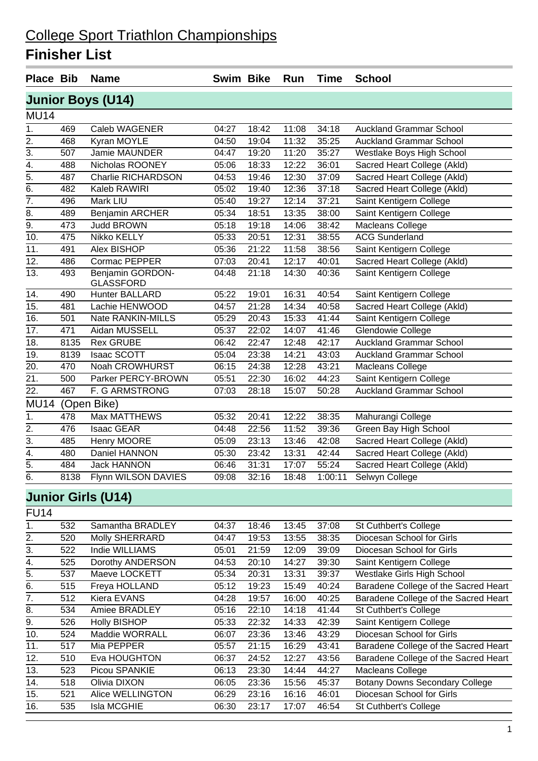### **Finisher List**

| <b>Place Bib</b>  |      | <b>Name</b>                   | <b>Swim Bike</b> |       | Run   | <b>Time</b> | <b>School</b>                  |
|-------------------|------|-------------------------------|------------------|-------|-------|-------------|--------------------------------|
|                   |      | <b>Junior Boys (U14)</b>      |                  |       |       |             |                                |
| <b>MU14</b>       |      |                               |                  |       |       |             |                                |
| 1.                | 469  | <b>Caleb WAGENER</b>          | 04:27            | 18:42 | 11:08 | 34:18       | <b>Auckland Grammar School</b> |
| $\overline{2}$ .  | 468  | Kyran MOYLE                   | 04:50            | 19:04 | 11:32 | 35:25       | <b>Auckland Grammar School</b> |
| $\overline{3}$ .  | 507  | Jamie MAUNDER                 | 04:47            | 19:20 | 11:20 | 35:27       | Westlake Boys High School      |
| $\overline{4}$ .  | 488  | Nicholas ROONEY               | 05:06            | 18:33 | 12:22 | 36:01       | Sacred Heart College (Akld)    |
| $\overline{5}$    | 487  | <b>Charlie RICHARDSON</b>     | 04:53            | 19:46 | 12:30 | 37:09       | Sacred Heart College (Akld)    |
| $\overline{6}$ .  | 482  | Kaleb RAWIRI                  | 05:02            | 19:40 | 12:36 | 37:18       | Sacred Heart College (Akld)    |
| $\overline{7}$ .  | 496  | <b>Mark LIU</b>               | 05:40            | 19:27 | 12:14 | 37:21       | Saint Kentigern College        |
| 8.                | 489  | <b>Benjamin ARCHER</b>        | 05:34            | 18:51 | 13:35 | 38:00       | Saint Kentigern College        |
| $\overline{9}$ .  | 473  | <b>Judd BROWN</b>             | 05:18            | 19:18 | 14:06 | 38:42       | <b>Macleans College</b>        |
| 10.               | 475  | Nikko KELLY                   | 05:33            | 20:51 | 12:31 | 38:55       | <b>ACG Sunderland</b>          |
| 11.               | 491  | Alex BISHOP                   | 05:36            | 21:22 | 11:58 | 38:56       | Saint Kentigern College        |
| $\overline{12}$ . | 486  | Cormac PEPPER                 | 07:03            | 20:41 | 12:17 | 40:01       | Sacred Heart College (Akld)    |
| $\overline{13}$ . | 493  | Benjamin GORDON-<br>GLASSFORD | 04:48            | 21:18 | 14:30 | 40:36       | Saint Kentigern College        |
| 14.               | 490  | Hunter BALLARD                | 05:22            | 19:01 | 16:31 | 40:54       | Saint Kentigern College        |
| $\overline{15}$ . | 481  | Lachie HENWOOD                | 04:57            | 21:28 | 14:34 | 40:58       | Sacred Heart College (Akld)    |
| 16.               | 501  | Nate RANKIN-MILLS             | 05:29            | 20:43 | 15:33 | 41:44       | Saint Kentigern College        |
| $\overline{17}$ . | 471  | Aidan MUSSELL                 | 05:37            | 22:02 | 14:07 | 41:46       | Glendowie College              |
| 18.               | 8135 | <b>Rex GRUBE</b>              | 06:42            | 22:47 | 12:48 | 42:17       | <b>Auckland Grammar School</b> |
| $\overline{19}$ . | 8139 | <b>Isaac SCOTT</b>            | 05:04            | 23:38 | 14:21 | 43:03       | <b>Auckland Grammar School</b> |
| 20.               | 470  | Noah CROWHURST                | 06:15            | 24:38 | 12:28 | 43:21       | Macleans College               |
| 21.               | 500  | Parker PERCY-BROWN            | 05:51            | 22:30 | 16:02 | 44:23       | Saint Kentigern College        |
| $\overline{22}$ . | 467  | F. G ARMSTRONG                | 07:03            | 28:18 | 15:07 | 50:28       | <b>Auckland Grammar School</b> |
| <b>MU14</b>       |      | (Open Bike)                   |                  |       |       |             |                                |
| 1.                | 478  | <b>Max MATTHEWS</b>           | 05:32            | 20:41 | 12:22 | 38:35       | Mahurangi College              |
| $\overline{2}$ .  | 476  | <b>Isaac GEAR</b>             | 04:48            | 22:56 | 11:52 | 39:36       | Green Bay High School          |
| $\overline{3}$ .  | 485  | Henry MOORE                   | 05:09            | 23:13 | 13:46 | 42:08       | Sacred Heart College (Akld)    |
| $\overline{4}$ .  | 480  | Daniel HANNON                 | 05:30            | 23:42 | 13:31 | 42:44       | Sacred Heart College (Akld)    |
| $\overline{5}$ .  | 484  | <b>Jack HANNON</b>            | 06:46            | 31:31 | 17:07 | 55:24       | Sacred Heart College (Akld)    |
| $\overline{6}$ .  | 8138 | Flynn WILSON DAVIES           | 09:08            | 32:16 | 18:48 | 1:00:11     | Selwyn College                 |
|                   |      | <b>Junior Girls (U14)</b>     |                  |       |       |             |                                |

 $\overline{FU14}$ 

| . ט ד          |     |                     |       |       |       |       |                                      |
|----------------|-----|---------------------|-------|-------|-------|-------|--------------------------------------|
| 1.             | 532 | Samantha BRADLEY    | 04:37 | 18:46 | 13:45 | 37:08 | St Cuthbert's College                |
| 2.             | 520 | Molly SHERRARD      | 04:47 | 19:53 | 13:55 | 38:35 | Diocesan School for Girls            |
| 3.             | 522 | Indie WILLIAMS      | 05:01 | 21:59 | 12:09 | 39:09 | Diocesan School for Girls            |
| 4.             | 525 | Dorothy ANDERSON    | 04:53 | 20:10 | 14:27 | 39:30 | Saint Kentigern College              |
| 5.             | 537 | Maeve LOCKETT       | 05:34 | 20:31 | 13:31 | 39:37 | <b>Westlake Girls High School</b>    |
| 6.             | 515 | Freya HOLLAND       | 05:12 | 19:23 | 15:49 | 40:24 | Baradene College of the Sacred Heart |
| 7 <sub>1</sub> | 512 | Kiera EVANS         | 04:28 | 19:57 | 16:00 | 40:25 | Baradene College of the Sacred Heart |
| 8.             | 534 | Amiee BRADLEY       | 05:16 | 22:10 | 14:18 | 41:44 | <b>St Cuthbert's College</b>         |
| 9.             | 526 | <b>Holly BISHOP</b> | 05:33 | 22:32 | 14:33 | 42:39 | Saint Kentigern College              |
| 10.            | 524 | Maddie WORRALL      | 06:07 | 23:36 | 13:46 | 43:29 | Diocesan School for Girls            |
| 11.            | 517 | Mia PEPPER          | 05:57 | 21:15 | 16:29 | 43:41 | Baradene College of the Sacred Heart |
| 12.            | 510 | Eva HOUGHTON        | 06:37 | 24:52 | 12:27 | 43:56 | Baradene College of the Sacred Heart |
| 13.            | 523 | Picou SPANKIE       | 06:13 | 23:30 | 14:44 | 44:27 | Macleans College                     |
| 14.            | 518 | Olivia DIXON        | 06:05 | 23:36 | 15:56 | 45:37 | Botany Downs Secondary College       |
| 15.            | 521 | Alice WELLINGTON    | 06:29 | 23:16 | 16:16 | 46:01 | Diocesan School for Girls            |
| 16.            | 535 | Isla MCGHIE         | 06:30 | 23:17 | 17:07 | 46:54 | St Cuthbert's College                |
|                |     |                     |       |       |       |       |                                      |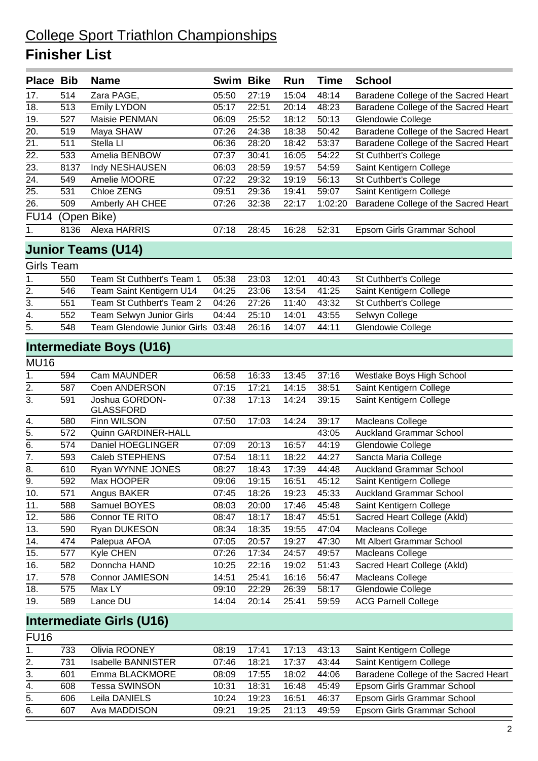### **Finisher List**

| <b>Place Bib</b>  |      | <b>Name</b>                        | <b>Swim Bike</b> |       | Run   | <b>Time</b> | <b>School</b>                        |
|-------------------|------|------------------------------------|------------------|-------|-------|-------------|--------------------------------------|
| 17.               | 514  | Zara PAGE,                         | 05:50            | 27:19 | 15:04 | 48:14       | Baradene College of the Sacred Heart |
| 18.               | 513  | <b>Emily LYDON</b>                 | 05:17            | 22:51 | 20:14 | 48:23       | Baradene College of the Sacred Heart |
| 19.               | 527  | Maisie PENMAN                      | 06:09            | 25:52 | 18:12 | 50:13       | Glendowie College                    |
| 20.               | 519  | Maya SHAW                          | 07:26            | 24:38 | 18:38 | 50:42       | Baradene College of the Sacred Heart |
| 21.               | 511  | Stella LI                          | 06:36            | 28:20 | 18:42 | 53:37       | Baradene College of the Sacred Heart |
| 22.               | 533  | Amelia BENBOW                      | 07:37            | 30:41 | 16:05 | 54:22       | St Cuthbert's College                |
| 23.               | 8137 | Indy NESHAUSEN                     | 06:03            | 28:59 | 19:57 | 54:59       | Saint Kentigern College              |
| 24.               | 549  | Amelie MOORE                       | 07:22            | 29:32 | 19:19 | 56:13       | <b>St Cuthbert's College</b>         |
| 25.               | 531  | Chloe ZENG                         | 09:51            | 29:36 | 19:41 | 59:07       | Saint Kentigern College              |
| 26.               | 509  | Amberly AH CHEE                    | 07:26            | 32:38 | 22:17 | 1:02:20     | Baradene College of the Sacred Heart |
| <b>FU14</b>       |      | (Open Bike)                        |                  |       |       |             |                                      |
| 1.                | 8136 | Alexa HARRIS                       | 07:18            | 28:45 | 16:28 | 52:31       | Epsom Girls Grammar School           |
|                   |      | <b>Junior Teams (U14)</b>          |                  |       |       |             |                                      |
| <b>Girls Team</b> |      |                                    |                  |       |       |             |                                      |
| 1.                | 550  | Team St Cuthbert's Team 1          | 05:38            | 23:03 | 12:01 | 40:43       | St Cuthbert's College                |
| 2.                | 546  | Team Saint Kentigern U14           | 04:25            | 23:06 | 13:54 | 41:25       | Saint Kentigern College              |
| 3.                | 551  | Team St Cuthbert's Team 2          | 04:26            | 27:26 | 11:40 | 43:32       | St Cuthbert's College                |
| $\overline{4}$ .  | 552  | Team Selwyn Junior Girls           | 04:44            | 25:10 | 14:01 | 43:55       | Selwyn College                       |
| 5.                | 548  | <b>Team Glendowie Junior Girls</b> | 03:48            | 26:16 | 14:07 | 44:11       | Glendowie College                    |
|                   |      | Intermediate Boys (U16)            |                  |       |       |             |                                      |
| <b>MU16</b>       |      |                                    |                  |       |       |             |                                      |
| $\overline{1}$ .  | 594  | <b>Cam MAUNDER</b>                 | 06:58            | 16:33 | 13:45 | 37:16       | Westlake Boys High School            |
| 2.                | 587  | Coen ANDERSON                      | 07:15            | 17:21 | 14:15 | 38:51       | Saint Kentigern College              |
| 3.                | 591  | Joshua GORDON-<br><b>GLASSFORD</b> | 07:38            | 17:13 | 14:24 | 39:15       | Saint Kentigern College              |
| 4.                | 580  | Finn WILSON                        | 07:50            | 17:03 | 14:24 | 39:17       | Macleans College                     |
| 5.                | 572  | Quinn GARDINER-HALL                |                  |       |       | 43:05       | <b>Auckland Grammar School</b>       |
| 6.                | 574  | Daniel HOEGLINGER                  | 07:09            | 20:13 | 16:57 | 44:19       | Glendowie College                    |
| 7.                | 593  | <b>Caleb STEPHENS</b>              | 07:54            | 18:11 | 18:22 | 44:27       | Sancta Maria College                 |
| 8.                | 610  | Ryan WYNNE JONES                   | 08:27            | 18:43 | 17:39 | 44:48       | <b>Auckland Grammar School</b>       |
| 9.                | 592  | Max HOOPER                         | 09:06            | 19:15 | 16:51 | 45:12       | Saint Kentigern College              |
| 10.               | 571  | Angus BAKER                        | 07:45            | 18:26 | 19:23 | 45:33       | <b>Auckland Grammar School</b>       |
| 11.               | 588  | Samuel BOYES                       | 08:03            | 20:00 | 17:46 | 45:48       | Saint Kentigern College              |
| 12.               | 586  | Connor TE RITO                     | 08:47            | 18:17 | 18:47 | 45:51       | Sacred Heart College (Akld)          |
| 13.               | 590  | Ryan DUKESON                       | 08:34            | 18:35 | 19:55 | 47:04       | Macleans College                     |
| 14.               | 474  | Palepua AFOA                       | 07:05            | 20:57 | 19:27 | 47:30       | Mt Albert Grammar School             |
| 15.               | 577  | Kyle CHEN                          | 07:26            | 17:34 | 24:57 | 49:57       | Macleans College                     |
| 16.               | 582  | Donncha HAND                       | 10:25            | 22:16 | 19:02 | 51:43       | Sacred Heart College (Akld)          |
| 17.               | 578  | Connor JAMIESON                    | 14:51            | 25:41 | 16:16 | 56:47       | Macleans College                     |
| 18.               | 575  | Max LY                             | 09:10            | 22:29 | 26:39 | 58:17       | Glendowie College                    |
| 19.               | 589  | Lance DU                           | 14:04            | 20:14 | 25:41 | 59:59       | <b>ACG Parnell College</b>           |
|                   |      |                                    |                  |       |       |             |                                      |

#### **Intermediate Girls (U16)** FU<sub>16</sub>

| 1 U I U |     |                           |       |       |       |       |                                      |
|---------|-----|---------------------------|-------|-------|-------|-------|--------------------------------------|
| 1.      | 733 | Olivia ROONEY             | 08:19 | 17:41 | 17:13 | 43:13 | Saint Kentigern College              |
| 2.      | 731 | <b>Isabelle BANNISTER</b> | 07:46 | 18:21 | 17:37 | 43:44 | Saint Kentigern College              |
| 3.      | 601 | Emma BLACKMORE            | 08:09 | 17:55 | 18:02 | 44:06 | Baradene College of the Sacred Heart |
| 4.      | 608 | Tessa SWINSON             | 10:31 | 18:31 | 16:48 | 45:49 | Epsom Girls Grammar School           |
| -5.     | 606 | Leila DANIELS             | 10:24 | 19:23 | 16:51 | 46:37 | Epsom Girls Grammar School           |
| 6.      | 607 | Ava MADDISON              | 09:21 | 19:25 | 21:13 | 49:59 | Epsom Girls Grammar School           |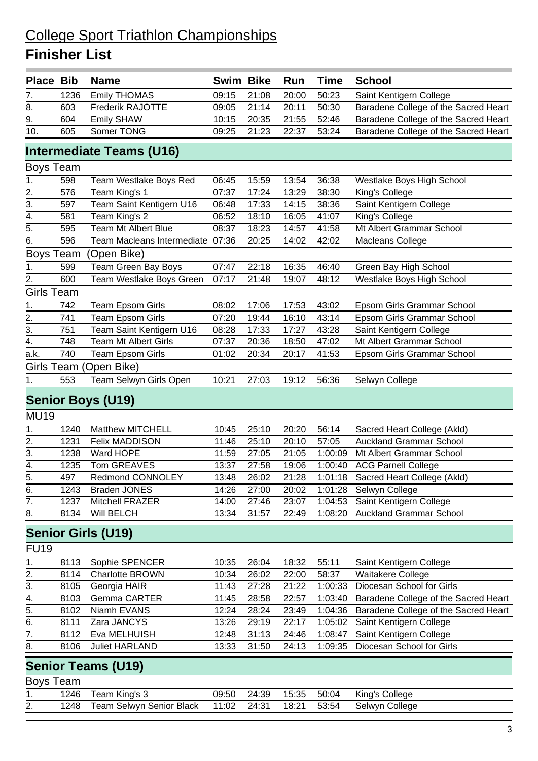## **Finisher List**

| <b>Place Bib</b>  |      | <b>Name</b>                      | Swim Bike |       | Run   | <b>Time</b> | <b>School</b>                        |
|-------------------|------|----------------------------------|-----------|-------|-------|-------------|--------------------------------------|
| 7.                | 1236 | <b>Emily THOMAS</b>              | 09:15     | 21:08 | 20:00 | 50:23       | Saint Kentigern College              |
| 8.                | 603  | Frederik RAJOTTE                 | 09:05     | 21:14 | 20:11 | 50:30       | Baradene College of the Sacred Heart |
| 9.                | 604  | <b>Emily SHAW</b>                | 10:15     | 20:35 | 21:55 | 52:46       | Baradene College of the Sacred Heart |
| 10.               | 605  | Somer TONG                       | 09:25     | 21:23 | 22:37 | 53:24       | Baradene College of the Sacred Heart |
|                   |      | Intermediate Teams (U16)         |           |       |       |             |                                      |
| <b>Boys Team</b>  |      |                                  |           |       |       |             |                                      |
| 1.                | 598  | Team Westlake Boys Red           | 06:45     | 15:59 | 13:54 | 36:38       | Westlake Boys High School            |
| 2.                | 576  | Team King's 1                    | 07:37     | 17:24 | 13:29 | 38:30       | King's College                       |
| 3.                | 597  | Team Saint Kentigern U16         | 06:48     | 17:33 | 14:15 | 38:36       | Saint Kentigern College              |
| 4.                | 581  | Team King's 2                    | 06:52     | 18:10 | 16:05 | 41:07       | King's College                       |
| 5.                | 595  | Team Mt Albert Blue              | 08:37     | 18:23 | 14:57 | 41:58       | Mt Albert Grammar School             |
| $\overline{6}$ .  | 596  | Team Macleans Intermediate 07:36 |           | 20:25 | 14:02 | 42:02       | <b>Macleans College</b>              |
| <b>Boys Team</b>  |      | (Open Bike)                      |           |       |       |             |                                      |
| 1.                | 599  | Team Green Bay Boys              | 07:47     | 22:18 | 16:35 | 46:40       | Green Bay High School                |
| 2.                | 600  | Team Westlake Boys Green         | 07:17     | 21:48 | 19:07 | 48:12       | Westlake Boys High School            |
| <b>Girls Team</b> |      |                                  |           |       |       |             |                                      |
| 1.                | 742  | <b>Team Epsom Girls</b>          | 08:02     | 17:06 | 17:53 | 43:02       | Epsom Girls Grammar School           |
|                   | 741  | <b>Team Epsom Girls</b>          | 07:20     | 19:44 | 16:10 | 43:14       | Epsom Girls Grammar School           |
| $\frac{2}{3}$ .   | 751  | Team Saint Kentigern U16         | 08:28     | 17:33 | 17:27 | 43:28       | Saint Kentigern College              |
| $\frac{4}{1}$     | 748  | Team Mt Albert Girls             | 07:37     | 20:36 | 18:50 | 47:02       | Mt Albert Grammar School             |
| a.k.              | 740  | <b>Team Epsom Girls</b>          | 01:02     | 20:34 | 20:17 | 41:53       | Epsom Girls Grammar School           |
|                   |      | Girls Team (Open Bike)           |           |       |       |             |                                      |
| 1.                | 553  | Team Selwyn Girls Open           | 10:21     | 27:03 | 19:12 | 56:36       | Selwyn College                       |
|                   |      | <b>Senior Boys (U19)</b>         |           |       |       |             |                                      |
| <b>MU19</b>       |      |                                  |           |       |       |             |                                      |
| 1.                | 1240 | <b>Matthew MITCHELL</b>          | 10:45     | 25:10 | 20:20 | 56:14       | Sacred Heart College (Akld)          |
| 2.                | 1231 | Felix MADDISON                   | 11:46     | 25:10 | 20:10 | 57:05       | <b>Auckland Grammar School</b>       |
| 3.                | 1238 | Ward HOPE                        | 11:59     | 27:05 | 21:05 | 1:00:09     | Mt Albert Grammar School             |
| 4.                | 1235 | Tom GREAVES                      | 13:37     | 27:58 | 19:06 | 1:00:40     | <b>ACG Parnell College</b>           |
| $\overline{5}$ .  | 497  | Redmond CONNOLEY                 | 13:48     | 26:02 | 21:28 |             | 1:01:18 Sacred Heart College (Akld)  |
| 6.                | 1243 | <b>Braden JONES</b>              | 14:26     | 27:00 | 20:02 | 1:01:28     | Selwyn College                       |
| 7.                | 1237 | <b>Mitchell FRAZER</b>           | 14:00     | 27:46 | 23:07 | 1:04:53     | Saint Kentigern College              |
| 8.                | 8134 | <b>Will BELCH</b>                | 13:34     | 31:57 | 22:49 | 1:08:20     | <b>Auckland Grammar School</b>       |
|                   |      | <b>Senior Girls (U19)</b>        |           |       |       |             |                                      |
| <b>FU19</b>       |      |                                  |           |       |       |             |                                      |
| 1.                | 8113 | Sophie SPENCER                   | 10:35     | 26:04 | 18:32 | 55:11       | Saint Kentigern College              |
| 2.                | 8114 | <b>Charlotte BROWN</b>           | 10:34     | 26:02 | 22:00 | 58:37       | Waitakere College                    |
| 3.                | 8105 | Georgia HAIR                     | 11:43     | 27:28 | 21:22 | 1:00:33     | Diocesan School for Girls            |
| 4.                | 8103 | Gemma CARTER                     | 11:45     | 28:58 | 22:57 | 1:03:40     | Baradene College of the Sacred Heart |
| 5.                | 8102 | Niamh EVANS                      | 12:24     | 28:24 | 23:49 | 1:04:36     | Baradene College of the Sacred Heart |
| 6.                | 8111 | Zara JANCYS                      | 13:26     | 29:19 | 22:17 | 1:05:02     | Saint Kentigern College              |
| 7.                | 8112 | Eva MELHUISH                     | 12:48     | 31:13 | 24:46 | 1:08:47     | Saint Kentigern College              |
| 8.                | 8106 | <b>Juliet HARLAND</b>            | 13:33     | 31:50 | 24:13 | 1:09:35     | Diocesan School for Girls            |
|                   |      |                                  |           |       |       |             |                                      |
|                   |      | <b>Senior Teams (U19)</b>        |           |       |       |             |                                      |
| Boys Team         |      |                                  |           |       |       |             |                                      |
| 1.                | 1246 | Team King's 3                    | 09:50     | 24:39 | 15:35 | 50:04       | King's College                       |
| 2.                | 1248 | Team Selwyn Senior Black         | 11:02     | 24:31 | 18:21 | 53:54       | Selwyn College                       |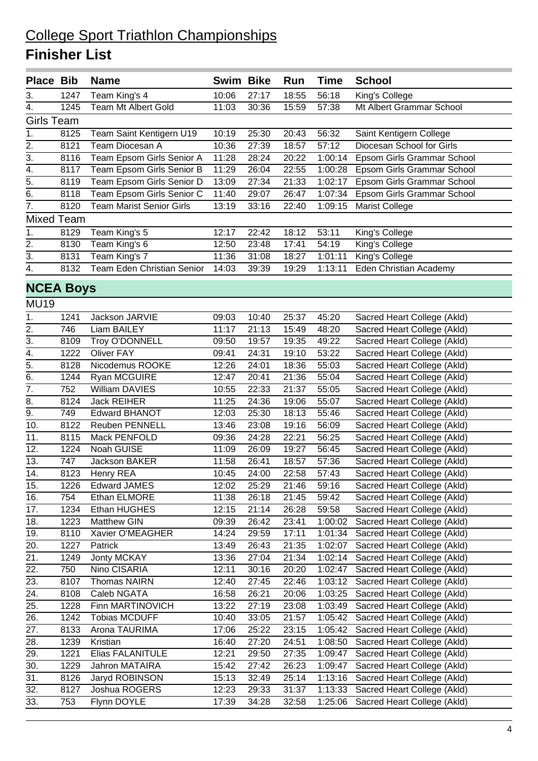#### College Sport Triathlon Championships **Finisher List**

| <b>Place Bib</b>  |                   | <b>Name</b>                     | <b>Swim Bike</b> |                | Run            | <b>Time</b>        | <b>School</b>                                              |
|-------------------|-------------------|---------------------------------|------------------|----------------|----------------|--------------------|------------------------------------------------------------|
| 3.                | 1247              | Team King's 4                   | 10:06            | 27:17          | 18:55          | 56:18              | King's College                                             |
| 4.                | 1245              | Team Mt Albert Gold             | 11:03            | 30:36          | 15:59          | 57:38              | Mt Albert Grammar School                                   |
| Girls Team        |                   |                                 |                  |                |                |                    |                                                            |
| 1.                | 8125              | Team Saint Kentigern U19        | 10:19            | 25:30          | 20:43          | 56:32              | Saint Kentigern College                                    |
| 2.                | 8121              | Team Diocesan A                 | 10:36            | 27:39          | 18:57          | 57:12              | Diocesan School for Girls                                  |
| 3.                | 8116              | Team Epsom Girls Senior A       | 11:28            | 28:24          | 20:22          | 1:00:14            | Epsom Girls Grammar School                                 |
| 4.                | 8117              | Team Epsom Girls Senior B       | 11:29            | 26:04          | 22:55          | 1:00:28            | Epsom Girls Grammar School                                 |
| $\overline{5}$ .  | 8119              | Team Epsom Girls Senior D       | 13:09            | 27:34          | 21:33          | 1:02:17            | Epsom Girls Grammar School                                 |
| 6.                | 8118              | Team Epsom Girls Senior C       | 11:40            | 29:07          | 26:47          | 1:07:34            | Epsom Girls Grammar School                                 |
| $\overline{7}$ .  | 8120              | <b>Team Marist Senior Girls</b> | 13:19            | 33:16          | 22:40          | 1:09:15            | <b>Marist College</b>                                      |
|                   | <b>Mixed Team</b> |                                 |                  |                |                |                    |                                                            |
| 1.                | 8129              | Team King's 5                   | 12:17            | 22:42          | 18:12          | 53:11              | King's College                                             |
| 2.                | 8130              | Team King's 6                   | 12:50            | 23:48          | 17:41          | 54:19              | King's College                                             |
| $\overline{3}$ .  | 8131              | Team King's 7                   | 11:36            | 31:08          | 18:27          | 1:01:11            | King's College                                             |
| 4.                | 8132              | Team Eden Christian Senior      | 14:03            | 39:39          | 19:29          | 1:13:11            | Eden Christian Academy                                     |
|                   |                   |                                 |                  |                |                |                    |                                                            |
|                   | <b>NCEA Boys</b>  |                                 |                  |                |                |                    |                                                            |
| <b>MU19</b>       |                   |                                 |                  |                |                |                    |                                                            |
| 1.                | 1241              | Jackson JARVIE                  | 09:03            | 10:40          | 25:37          | 45:20              | Sacred Heart College (Akld)                                |
| 2.                | 746               | Liam BAILEY                     | 11:17            | 21:13          | 15:49          | 48:20              | Sacred Heart College (Akld)                                |
| 3.                | 8109              | Troy O'DONNELL                  | 09:50            | 19:57          | 19:35          | 49:22              | Sacred Heart College (Akld)                                |
| 4.                | 1222              | <b>Oliver FAY</b>               | 09:41            | 24:31          | 19:10          | 53:22              | Sacred Heart College (Akld)                                |
| $\overline{5}$ .  | 8128              | Nicodemus ROOKE                 | 12:26            | 24:01          | 18:36          | 55:03              | Sacred Heart College (Akld)                                |
| $\overline{6}$ .  | 1244              | Ryan MCGUIRE                    | 12:47            | 20:41          | 21:36          | 55:04              | Sacred Heart College (Akld)                                |
| $\overline{7}$ .  | 752               | <b>William DAVIES</b>           | 10:55            | 22:33          | 21:37          | 55:05              | Sacred Heart College (Akld)                                |
| 8.                | 8124              | <b>Jack REIHER</b>              | 11:25            | 24:36          | 19:06          | 55:07              | Sacred Heart College (Akld)                                |
| $\overline{9}$ .  | 749               | <b>Edward BHANOT</b>            | 12:03            | 25:30          | 18:13          | 55:46              | Sacred Heart College (Akld)                                |
| $\overline{10}$ . | 8122              | <b>Reuben PENNELL</b>           | 13:46            | 23:08          | 19:16          | 56:09              | Sacred Heart College (Akld)                                |
| 11.               | 8115              | Mack PENFOLD                    | 09:36            | 24:28          | 22:21          | 56:25              | Sacred Heart College (Akld)                                |
| 12.               | 1224              | Noah GUISE                      | 11:09            | 26:09          | 19:27          | 56:45              | Sacred Heart College (Akld)                                |
| 13.               | 747               | <b>Jackson BAKER</b>            | 11:58            | 26:41          | 18:57          | 57:36              | Sacred Heart College (Akld)                                |
| $\overline{14}$ . | 8123              | Henry REA                       | 10:45            | 24:00          | 22:58          | 57:43              | Sacred Heart College (Akld)                                |
| 15.               | 1226              | <b>Edward JAMES</b>             | 12:02            | 25:29          | 21:46          | 59:16              | Sacred Heart College (Akld)                                |
| 16.               | 754               | Ethan ELMORE                    | 11:38            | 26:18          | 21:45          | 59:42              | Sacred Heart College (Akld)                                |
| 17.               | 1234              | Ethan HUGHES                    | 12:15            | 21:14          | 26:28          | 59:58              | Sacred Heart College (Akld)                                |
| 18.               | 1223              | <b>Matthew GIN</b>              | 09:39            | 26:42          | 23:41          | 1:00:02            | Sacred Heart College (Akld)                                |
| 19.               | 8110              | Xavier O'MEAGHER                | 14:24            | 29:59          | 17:11          | 1:01:34            | Sacred Heart College (Akld)                                |
| 20.               | 1227              | Patrick                         | 13:49            | 26:43          | 21:35          | 1:02:07            | Sacred Heart College (Akld)                                |
| 21.               | 1249              | Jonty MCKAY                     | 13:36            | 27:04          | 21:34          | 1:02:14            | Sacred Heart College (Akld)                                |
| 22.               | 750               | Nino CISARIA                    | 12:11            | 30:16          | 20:20          | 1:02:47            | Sacred Heart College (Akld)                                |
| 23.               | 8107              | <b>Thomas NAIRN</b>             | 12:40            | 27:45          | 22:46          | 1:03:12            | Sacred Heart College (Akld)                                |
| $\overline{24}$ . | 8108              | Caleb NGATA                     | 16:58            | 26:21          | 20:06          | 1:03:25            | Sacred Heart College (Akld)                                |
| 25.               | 1228              | Finn MARTINOVICH                | 13:22            | 27:19          | 23:08          | 1:03:49            | Sacred Heart College (Akld)                                |
| 26.               | 1242              | <b>Tobias MCDUFF</b>            | 10:40            | 33:05          | 21:57          | 1:05:42            | Sacred Heart College (Akld)                                |
| 27.               | 8133              | Arona TAURIMA                   | 17:06            | 25:22          | 23:15          | 1:05:42            | Sacred Heart College (Akld)                                |
| 28.               | 1239              | Kristian                        | 16:40            | 27:20          | 24:51          | 1:08:50            | Sacred Heart College (Akld)                                |
| 29.               | 1221              | Elias FALANITULE                | 12:21            | 29:50          | 27:35          | 1:09:47            | Sacred Heart College (Akld)                                |
| 30.               | 1229              | Jahron MATAIRA                  | 15:42            | 27:42          | 26:23          | 1:09:47            | Sacred Heart College (Akld)                                |
| 31.               |                   |                                 |                  |                |                |                    |                                                            |
|                   |                   |                                 |                  |                |                |                    |                                                            |
| 32.               | 8126<br>8127      | Jaryd ROBINSON<br>Joshua ROGERS | 15:13<br>12:23   | 32:49<br>29:33 | 25:14<br>31:37 | 1:13:16<br>1:13:33 | Sacred Heart College (Akld)<br>Sacred Heart College (Akld) |